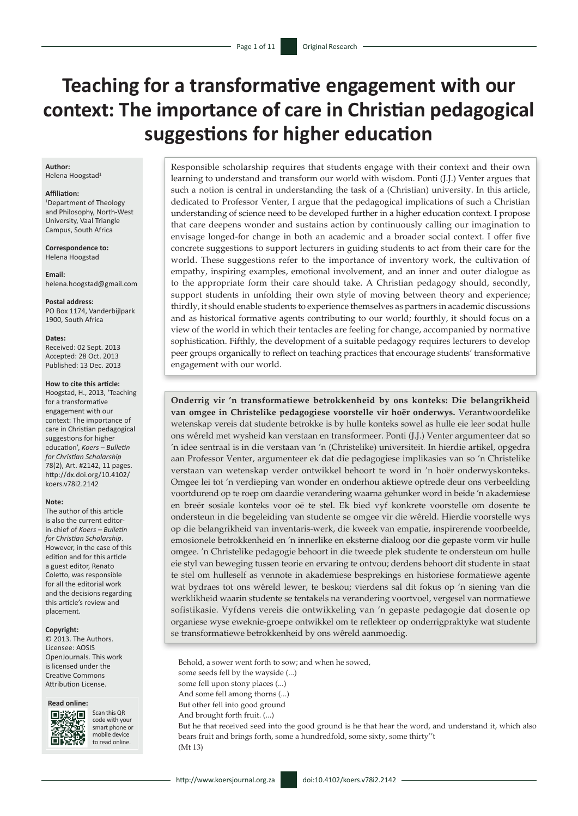# **Teaching for a transformative engagement with our context: The importance of care in Christian pedagogical suggestions for higher education**

#### **Author:** Helena Hoogstad<sup>1</sup>

**Affiliation:**

1 Department of Theology and Philosophy, North-West University, Vaal Triangle Campus, South Africa

**Correspondence to:** Helena Hoogstad

**Email:** [helena.hoogstad@gmail.com](mailto:helena.hoogstad@gmail.com)

**Postal address:** PO Box 1174, Vanderbijlpark 1900, South Africa

#### **Dates:**

Received: 02 Sept. 2013 Accepted: 28 Oct. 2013 Published: 13 Dec. 2013

#### **How to cite this article:**

Hoogstad, H., 2013, 'Teaching for a transformative engagement with our context: The importance of care in Christian pedagogical suggestions for higher education', *Koers – Bulletin for Christian Scholarship* 78(2), Art. #2142, 11 pages. [http://dx.doi.org/10.4102/](http://dx.doi.org/10.4102/koers.v78i2.2142) [koers.v78i2.2142](http://dx.doi.org/10.4102/koers.v78i2.2142)

#### **Note:**

The author of this article is also the current editorin-chief of *Koers – Bulletin for Christian Scholarship*. However, in the case of this edition and for this article a guest editor, Renato Coletto, was responsible for all the editorial work and the decisions regarding this article's review and placement.

#### **Copyright:**

© 2013. The Authors. Licensee: AOSIS OpenJournals. This work is licensed under the Creative Commons Attribution License.

### **Read online:**



Scan this QR code with your smart phone or mobile device to read online.

Responsible scholarship requires that students engage with their context and their own learning to understand and transform our world with wisdom. Ponti (J.J.) Venter argues that such a notion is central in understanding the task of a (Christian) university. In this article, dedicated to Professor Venter, I argue that the pedagogical implications of such a Christian understanding of science need to be developed further in a higher education context. I propose that care deepens wonder and sustains action by continuously calling our imagination to envisage longed-for change in both an academic and a broader social context. I offer five concrete suggestions to support lecturers in guiding students to act from their care for the world. These suggestions refer to the importance of inventory work, the cultivation of empathy, inspiring examples, emotional involvement, and an inner and outer dialogue as to the appropriate form their care should take. A Christian pedagogy should, secondly, support students in unfolding their own style of moving between theory and experience; thirdly, it should enable students to experience themselves as partners in academic discussions and as historical formative agents contributing to our world; fourthly, it should focus on a view of the world in which their tentacles are feeling for change, accompanied by normative sophistication. Fifthly, the development of a suitable pedagogy requires lecturers to develop peer groups organically to reflect on teaching practices that encourage students' transformative engagement with our world.

**Onderrig vir 'n transformatiewe betrokkenheid by ons konteks: Die belangrikheid van omgee in Christelike pedagogiese voorstelle vir hoër onderwys.** Verantwoordelike wetenskap vereis dat studente betrokke is by hulle konteks sowel as hulle eie leer sodat hulle ons wêreld met wysheid kan verstaan en transformeer. Ponti (J.J.) Venter argumenteer dat so 'n idee sentraal is in die verstaan van 'n (Christelike) universiteit. In hierdie artikel, opgedra aan Professor Venter, argumenteer ek dat die pedagogiese implikasies van so 'n Christelike verstaan van wetenskap verder ontwikkel behoort te word in 'n hoër onderwyskonteks. Omgee lei tot 'n verdieping van wonder en onderhou aktiewe optrede deur ons verbeelding voortdurend op te roep om daardie verandering waarna gehunker word in beide 'n akademiese en breër sosiale konteks voor oë te stel. Ek bied vyf konkrete voorstelle om dosente te ondersteun in die begeleiding van studente se omgee vir die wêreld. Hierdie voorstelle wys op die belangrikheid van inventaris-werk, die kweek van empatie, inspirerende voorbeelde, emosionele betrokkenheid en 'n innerlike en eksterne dialoog oor die gepaste vorm vir hulle omgee. 'n Christelike pedagogie behoort in die tweede plek studente te ondersteun om hulle eie styl van beweging tussen teorie en ervaring te ontvou; derdens behoort dit studente in staat te stel om hulleself as vennote in akademiese besprekings en historiese formatiewe agente wat bydraes tot ons wêreld lewer, te beskou; vierdens sal dit fokus op 'n siening van die werklikheid waarin studente se tentakels na verandering voortvoel, vergesel van normatiewe sofistikasie. Vyfdens vereis die ontwikkeling van 'n gepaste pedagogie dat dosente op organiese wyse eweknie-groepe ontwikkel om te reflekteer op onderrigpraktyke wat studente se transformatiewe betrokkenheid by ons wêreld aanmoedig.

Behold, a sower went forth to sow; and when he sowed, some seeds fell by the wayside (...) some fell upon stony places (...) And some fell among thorns (...) But other fell into good ground And brought forth fruit. (...) But he that received seed into the good ground is he that hear the word, and understand it, which also bears fruit and brings forth, some a hundredfold, some sixty, some thirty''t (Mt 13)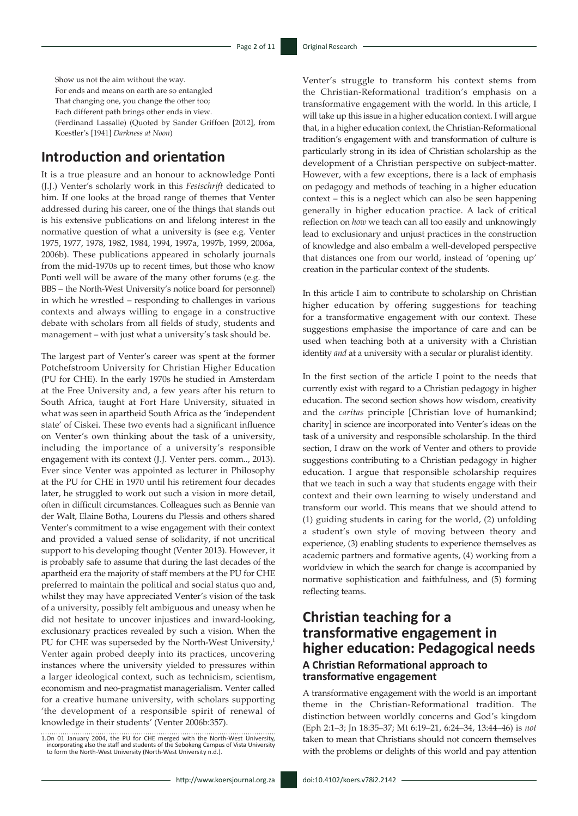Show us not the aim without the way. For ends and means on earth are so entangled That changing one, you change the other too; Each different path brings other ends in view. (Ferdinand Lassalle) (Quoted by Sander Griffoen [2012], from Koestler's [1941] *Darkness at Noon*)

# **Introduction and orientation**

It is a true pleasure and an honour to acknowledge Ponti (J.J.) Venter's scholarly work in this *Festschrift* dedicated to him. If one looks at the broad range of themes that Venter addressed during his career, one of the things that stands out is his extensive publications on and lifelong interest in the normative question of what a university is (see e.g. Venter 1975, 1977, 1978, 1982, 1984, 1994, 1997a, 1997b, 1999, 2006a, 2006b). These publications appeared in scholarly journals from the mid-1970s up to recent times, but those who know Ponti well will be aware of the many other forums (e.g. the BBS – the North-West University's notice board for personnel) in which he wrestled – responding to challenges in various contexts and always willing to engage in a constructive debate with scholars from all fields of study, students and management – with just what a university's task should be.

The largest part of Venter's career was spent at the former Potchefstroom University for Christian Higher Education (PU for CHE). In the early 1970s he studied in Amsterdam at the Free University and, a few years after his return to South Africa, taught at Fort Hare University, situated in what was seen in apartheid South Africa as the 'independent state' of Ciskei. These two events had a significant influence on Venter's own thinking about the task of a university, including the importance of a university's responsible engagement with its context (J.J. Venter pers. comm.., 2013). Ever since Venter was appointed as lecturer in Philosophy at the PU for CHE in 1970 until his retirement four decades later, he struggled to work out such a vision in more detail, often in difficult circumstances. Colleagues such as Bennie van der Walt, Elaine Botha, Lourens du Plessis and others shared Venter's commitment to a wise engagement with their context and provided a valued sense of solidarity, if not uncritical support to his developing thought (Venter 2013). However, it is probably safe to assume that during the last decades of the apartheid era the majority of staff members at the PU for CHE preferred to maintain the political and social status quo and, whilst they may have appreciated Venter's vision of the task of a university, possibly felt ambiguous and uneasy when he did not hesitate to uncover injustices and inward-looking, exclusionary practices revealed by such a vision. When the PU for CHE was superseded by the North-West University, $1$ Venter again probed deeply into its practices, uncovering instances where the university yielded to pressures within a larger ideological context, such as technicism, scientism, economism and neo-pragmatist managerialism. Venter called for a creative humane university, with scholars supporting 'the development of a responsible spirit of renewal of knowledge in their students' (Venter 2006b:357).

Venter's struggle to transform his context stems from the Christian-Reformational tradition's emphasis on a transformative engagement with the world. In this article, I will take up this issue in a higher education context. I will argue that, in a higher education context, the Christian-Reformational tradition's engagement with and transformation of culture is particularly strong in its idea of Christian scholarship as the development of a Christian perspective on subject-matter. However, with a few exceptions, there is a lack of emphasis on pedagogy and methods of teaching in a higher education context – this is a neglect which can also be seen happening generally in higher education practice. A lack of critical reflection on *how* we teach can all too easily and unknowingly lead to exclusionary and unjust practices in the construction of knowledge and also embalm a well-developed perspective that distances one from our world, instead of 'opening up' creation in the particular context of the students.

In this article I aim to contribute to scholarship on Christian higher education by offering suggestions for teaching for a transformative engagement with our context. These suggestions emphasise the importance of care and can be used when teaching both at a university with a Christian identity *and* at a university with a secular or pluralist identity.

In the first section of the article I point to the needs that currently exist with regard to a Christian pedagogy in higher education. The second section shows how wisdom, creativity and the *caritas* principle [Christian love of humankind; charity] in science are incorporated into Venter's ideas on the task of a university and responsible scholarship. In the third section, I draw on the work of Venter and others to provide suggestions contributing to a Christian pedagogy in higher education. I argue that responsible scholarship requires that we teach in such a way that students engage with their context and their own learning to wisely understand and transform our world. This means that we should attend to (1) guiding students in caring for the world, (2) unfolding a student's own style of moving between theory and experience, (3) enabling students to experience themselves as academic partners and formative agents, (4) working from a worldview in which the search for change is accompanied by normative sophistication and faithfulness, and (5) forming reflecting teams.

# **Christian teaching for a transformative engagement in higher education: Pedagogical needs A Christian Reformational approach to transformative engagement**

A transformative engagement with the world is an important theme in the Christian-Reformational tradition. The distinction between worldly concerns and God's kingdom (Eph 2:1–3; Jn 18:35–37; Mt 6:19–21, 6:24–34, 13:44–46) is *not*  taken to mean that Christians should not concern themselves with the problems or delights of this world and pay attention

<sup>1.</sup>On 01 January 2004, the PU for CHE merged with the North-West University,<br>incorporating also the staff and students of the Sebokeng Campus of Vista University<br>to form the North-West University (North-West University n.d.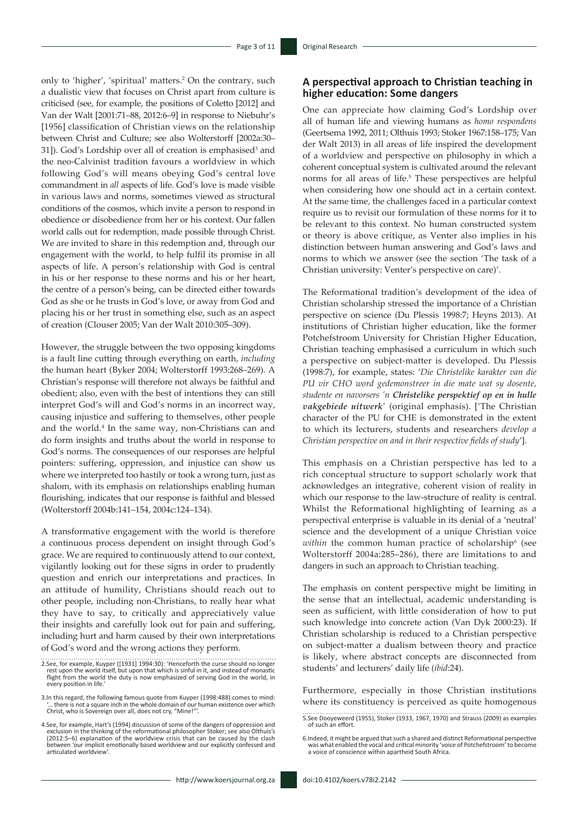only to 'higher', 'spiritual' matters.<sup>2</sup> On the contrary, such a dualistic view that focuses on Christ apart from culture is criticised (see, for example, the positions of Coletto [2012] and Van der Walt [2001:71–88, 2012:6–9] in response to Niebuhr's [1956] classification of Christian views on the relationship between Christ and Culture; see also Wolterstorff [2002a:30– 31]). God's Lordship over all of creation is emphasised<sup>3</sup> and the neo-Calvinist tradition favours a worldview in which following God's will means obeying God's central love commandment in *all* aspects of life. God's love is made visible in various laws and norms, sometimes viewed as structural conditions of the cosmos, which invite a person to respond in obedience or disobedience from her or his context. Our fallen world calls out for redemption, made possible through Christ. We are invited to share in this redemption and, through our engagement with the world, to help fulfil its promise in all aspects of life. A person's relationship with God is central in his or her response to these norms and his or her heart, the centre of a person's being, can be directed either towards God as she or he trusts in God's love, or away from God and placing his or her trust in something else, such as an aspect of creation (Clouser 2005; Van der Walt 2010:305–309).

However, the struggle between the two opposing kingdoms is a fault line cutting through everything on earth, *including* the human heart (Byker 2004; Wolterstorff 1993:268–269). A Christian's response will therefore not always be faithful and obedient; also, even with the best of intentions they can still interpret God's will and God's norms in an incorrect way, causing injustice and suffering to themselves, other people and the world.<sup>4</sup> In the same way, non-Christians can and do form insights and truths about the world in response to God's norms. The consequences of our responses are helpful pointers: suffering, oppression, and injustice can show us where we interpreted too hastily or took a wrong turn, just as shalom, with its emphasis on relationships enabling human flourishing, indicates that our response is faithful and blessed (Wolterstorff 2004b:141–154, 2004c:124–134).

A transformative engagement with the world is therefore a continuous process dependent on insight through God's grace. We are required to continuously attend to our context, vigilantly looking out for these signs in order to prudently question and enrich our interpretations and practices. In an attitude of humility, Christians should reach out to other people, including non-Christians, to really hear what they have to say, to critically and appreciatively value their insights and carefully look out for pain and suffering, including hurt and harm caused by their own interpretations of God's word and the wrong actions they perform.

### **A perspectival approach to Christian teaching in higher education: Some dangers**

One can appreciate how claiming God's Lordship over all of human life and viewing humans as *homo respondens* (Geertsema 1992, 2011; Olthuis 1993; Stoker 1967:158–175; Van der Walt 2013) in all areas of life inspired the development of a worldview and perspective on philosophy in which a coherent conceptual system is cultivated around the relevant norms for all areas of life.<sup>5</sup> These perspectives are helpful when considering how one should act in a certain context. At the same time, the challenges faced in a particular context require us to revisit our formulation of these norms for it to be relevant to this context. No human constructed system or theory is above critique, as Venter also implies in his distinction between human answering and God's laws and norms to which we answer (see the section 'The task of a Christian university: Venter's perspective on care)'.

The Reformational tradition's development of the idea of Christian scholarship stressed the importance of a Christian perspective on science (Du Plessis 1998:7; Heyns 2013). At institutions of Christian higher education, like the former Potchefstroom University for Christian Higher Education, Christian teaching emphasised a curriculum in which such a perspective on subject-matter is developed. Du Plessis (1998:7), for example, states: '*Die Christelike karakter van die PU vir CHO word gedemonstreer in die mate wat sy dosente, studente en navorsers 'n Christelike perspektief op en in hulle vakgebiede uitwerk*' (original emphasis). ['The Christian character of the PU for CHE is demonstrated in the extent to which its lecturers, students and researchers *develop a Christian perspective on and in their respective fields of study*'].

This emphasis on a Christian perspective has led to a rich conceptual structure to support scholarly work that acknowledges an integrative, coherent vision of reality in which our response to the law-structure of reality is central. Whilst the Reformational highlighting of learning as a perspectival enterprise is valuable in its denial of a 'neutral' science and the development of a unique Christian voice within the common human practice of scholarship<sup>6</sup> (see Wolterstorff 2004a:285–286), there are limitations to and dangers in such an approach to Christian teaching.

The emphasis on content perspective might be limiting in the sense that an intellectual, academic understanding is seen as sufficient, with little consideration of how to put such knowledge into concrete action (Van Dyk 2000:23). If Christian scholarship is reduced to a Christian perspective on subject-matter a dualism between theory and practice is likely, where abstract concepts are disconnected from students' and lecturers' daily life (*ibid*:24).

Furthermore, especially in those Christian institutions where its constituency is perceived as quite homogenous

<sup>2.</sup>See, for example, Kuyper ([1931] 1994:30): 'Henceforth the curse should no longer rest upon the world itself, but upon that which is sinful in it, and instead of monastic flight from the world the duty is now emphasized of serving God in the world, in every position in life.'

<sup>3.</sup>In this regard, the following famous quote from Kuyper (1998:488) comes to mind: there is not a square inch in the whole domain of our human existence over which Christ, who is Sovereign over all, does not cry, "Mine!'

<sup>4.</sup>See, for example, Hart's (1994) discussion of some of the dangers of oppression and<br>exclusion in the thinking of the reformational philosopher Stoker; see also Olthuis's<br>(2012:5–6) explanation of the worldview crisis tha between 'our implicit emotionally based worldview and our explicitly confessed and articulated worldview'.

<sup>5.</sup>See Dooyeweerd (1955), Stoker (1933, 1967, 1970) and Strauss (2009) as examples of such an effort.

<sup>6.</sup>Indeed, it might be argued that such a shared and distinct Reformational perspective was what enabled the vocal and critical minority 'voice of Potchefstroom' to become a voice of conscience within apartheid South Africa.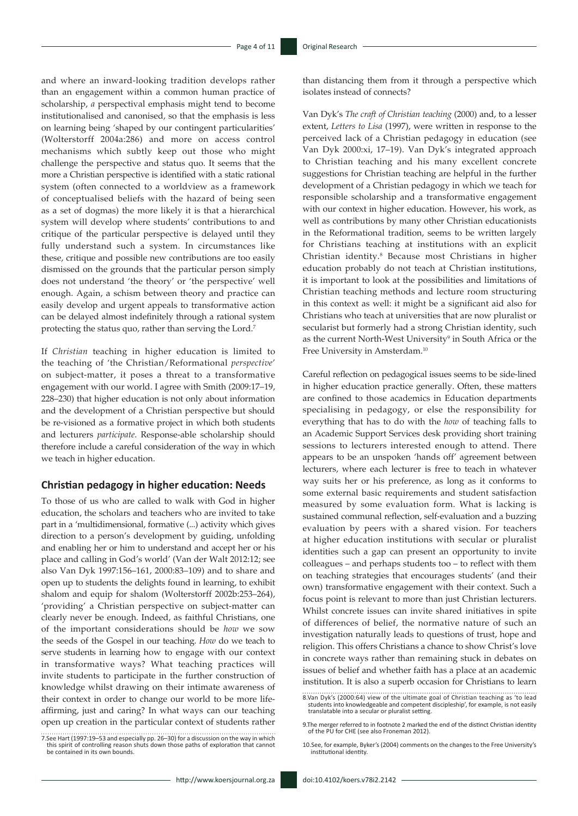and where an inward-looking tradition develops rather than an engagement within a common human practice of scholarship, *a* perspectival emphasis might tend to become institutionalised and canonised, so that the emphasis is less on learning being 'shaped by our contingent particularities' (Wolterstorff 2004a:286) and more on access control mechanisms which subtly keep out those who might challenge the perspective and status quo. It seems that the more a Christian perspective is identified with a static rational system (often connected to a worldview as a framework of conceptualised beliefs with the hazard of being seen as a set of dogmas) the more likely it is that a hierarchical system will develop where students' contributions to and critique of the particular perspective is delayed until they fully understand such a system. In circumstances like these, critique and possible new contributions are too easily dismissed on the grounds that the particular person simply does not understand 'the theory' or 'the perspective' well enough. Again, a schism between theory and practice can easily develop and urgent appeals to transformative action can be delayed almost indefinitely through a rational system protecting the status quo, rather than serving the Lord.7

If *Christian* teaching in higher education is limited to the teaching of 'the Christian/Reformational *perspective*' on subject-matter, it poses a threat to a transformative engagement with our world. I agree with Smith (2009:17–19, 228–230) that higher education is not only about information and the development of a Christian perspective but should be re-visioned as a formative project in which both students and lecturers *participate*. Response-able scholarship should therefore include a careful consideration of the way in which we teach in higher education.

### **Christian pedagogy in higher education: Needs**

To those of us who are called to walk with God in higher education, the scholars and teachers who are invited to take part in a 'multidimensional, formative (...) activity which gives direction to a person's development by guiding, unfolding and enabling her or him to understand and accept her or his place and calling in God's world' (Van der Walt 2012:12; see also Van Dyk 1997:156–161, 2000:83–109) and to share and open up to students the delights found in learning, to exhibit shalom and equip for shalom (Wolterstorff 2002b:253–264), 'providing' a Christian perspective on subject-matter can clearly never be enough. Indeed, as faithful Christians, one of the important considerations should be *how* we sow the seeds of the Gospel in our teaching. *How* do we teach to serve students in learning how to engage with our context in transformative ways? What teaching practices will invite students to participate in the further construction of knowledge whilst drawing on their intimate awareness of their context in order to change our world to be more lifeaffirming, just and caring? In what ways can our teaching open up creation in the particular context of students rather

than distancing them from it through a perspective which isolates instead of connects?

Van Dyk's *The craft of Christian teaching* (2000) and, to a lesser extent, *Letters to Lisa* (1997), were written in response to the perceived lack of a Christian pedagogy in education (see Van Dyk 2000:xi, 17–19). Van Dyk's integrated approach to Christian teaching and his many excellent concrete suggestions for Christian teaching are helpful in the further development of a Christian pedagogy in which we teach for responsible scholarship and a transformative engagement with our context in higher education. However, his work, as well as contributions by many other Christian educationists in the Reformational tradition, seems to be written largely for Christians teaching at institutions with an explicit Christian identity.8 Because most Christians in higher education probably do not teach at Christian institutions, it is important to look at the possibilities and limitations of Christian teaching methods and lecture room structuring in this context as well: it might be a significant aid also for Christians who teach at universities that are now pluralist or secularist but formerly had a strong Christian identity, such as the current North-West University<sup>9</sup> in South Africa or the Free University in Amsterdam.10

Careful reflection on pedagogical issues seems to be side-lined in higher education practice generally. Often, these matters are confined to those academics in Education departments specialising in pedagogy, or else the responsibility for everything that has to do with the *how* of teaching falls to an Academic Support Services desk providing short training sessions to lecturers interested enough to attend. There appears to be an unspoken 'hands off' agreement between lecturers, where each lecturer is free to teach in whatever way suits her or his preference, as long as it conforms to some external basic requirements and student satisfaction measured by some evaluation form. What is lacking is sustained communal reflection, self-evaluation and a buzzing evaluation by peers with a shared vision. For teachers at higher education institutions with secular or pluralist identities such a gap can present an opportunity to invite colleagues – and perhaps students too – to reflect with them on teaching strategies that encourages students' (and their own) transformative engagement with their context. Such a focus point is relevant to more than just Christian lecturers. Whilst concrete issues can invite shared initiatives in spite of differences of belief, the normative nature of such an investigation naturally leads to questions of trust, hope and religion. This offers Christians a chance to show Christ's love in concrete ways rather than remaining stuck in debates on issues of belief and whether faith has a place at an academic institution. It is also a superb occasion for Christians to learn

<sup>7.</sup>See Hart (1997:19–53 and especially pp. 26–30) for a discussion on the way in which this spirit of controlling reason shuts down those paths of exploration that cannot be contained in its own bounds.

<sup>8.</sup>Van Dyk's (2000:64) view of the ultimate goal of Christian teaching as 'to lead students into knowledgeable and competent discipleship', for example, is not easily translatable into a secular or pluralist setting.

<sup>9.</sup>The merger referred to in footnote 2 marked the end of the distinct Christian identity of the PU for CHE (see also Froneman 2012).

<sup>10.</sup>See, for example, Byker's (2004) comments on the changes to the Free University's institutional identity.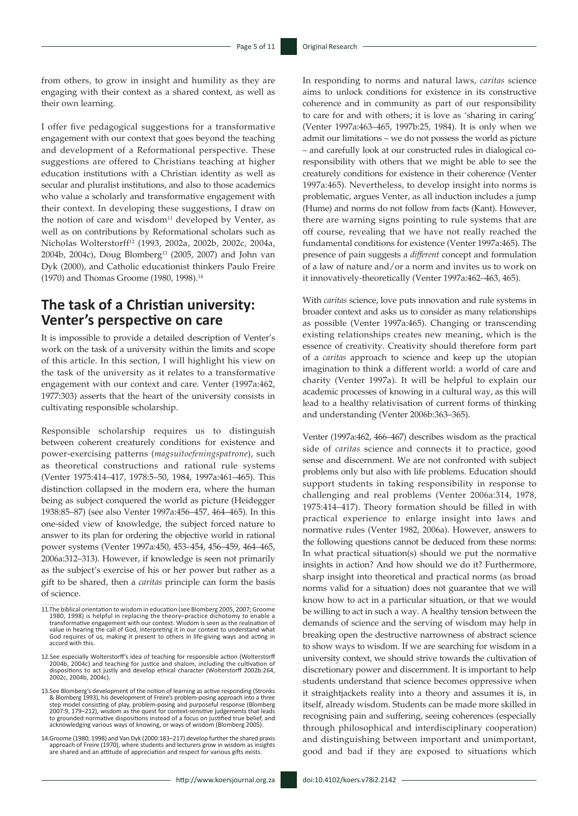from others, to grow in insight and humility as they are engaging with their context as a shared context, as well as their own learning.

I offer five pedagogical suggestions for a transformative engagement with our context that goes beyond the teaching and development of a Reformational perspective. These suggestions are offered to Christians teaching at higher education institutions with a Christian identity as well as secular and pluralist institutions, and also to those academics who value a scholarly and transformative engagement with their context. In developing these suggestions, I draw on the notion of care and wisdom $11$  developed by Venter, as well as on contributions by Reformational scholars such as Nicholas Wolterstorff12 (1993, 2002a, 2002b, 2002c, 2004a, 2004b, 2004c), Doug Blomberg13 (2005, 2007) and John van Dyk (2000), and Catholic educationist thinkers Paulo Freire (1970) and Thomas Groome (1980, 1998).<sup>14</sup>

# **The task of a Christian university: Venter's perspective on care**

It is impossible to provide a detailed description of Venter's work on the task of a university within the limits and scope of this article. In this section, I will highlight his view on the task of the university as it relates to a transformative engagement with our context and care. Venter (1997a:462, 1977:303) asserts that the heart of the university consists in cultivating responsible scholarship.

Responsible scholarship requires us to distinguish between coherent creaturely conditions for existence and power-exercising patterns (*magsuitoefeningspatrone*), such as theoretical constructions and rational rule systems (Venter 1975:414–417, 1978:5–50, 1984, 1997a:461–465). This distinction collapsed in the modern era, where the human being as subject conquered the world as picture (Heidegger 1938:85–87) (see also Venter 1997a:456–457, 464–465). In this one-sided view of knowledge, the subject forced nature to answer to its plan for ordering the objective world in rational power systems (Venter 1997a:450, 453–454, 456–459, 464–465, 2006a:312–313). However, if knowledge is seen not primarily as the subject's exercise of his or her power but rather as a gift to be shared, then a *caritas* principle can form the basis of science.

- 13.See Blomberg's development of the notion of learning as active responding (Stronks & Blomberg 1993), his development of Freire's problem-posing approach into a three step model consisting of play, problem-posing and purposeful response (Blomberg 2007:9, 179–212), wisdom as the quest for context-sensitive judgements that leads to grounded normative dispositions instead of a focus on justified true belief, and acknowledging various ways of knowing, or ways of wisdom (Blomberg 2005).
- 14.Groome (1980, 1998) and Van Dyk (2000:183–217) develop further the shared praxis approach of Freire (1970), where students and lecturers grow in wisdom as insights are shared and an attitude of appreciation and respect for various gifts exists.

In responding to norms and natural laws, *caritas* science aims to unlock conditions for existence in its constructive coherence and in community as part of our responsibility to care for and with others; it is love as 'sharing in caring' (Venter 1997a:463–465, 1997b:25, 1984). It is only when we admit our limitations – we do not possess the world as picture – and carefully look at our constructed rules in dialogical coresponsibility with others that we might be able to see the creaturely conditions for existence in their coherence (Venter 1997a:465). Nevertheless, to develop insight into norms is problematic, argues Venter, as all induction includes a jump (Hume) and norms do not follow from facts (Kant). However, there are warning signs pointing to rule systems that are off course, revealing that we have not really reached the fundamental conditions for existence (Venter 1997a:465). The presence of pain suggests a *different* concept and formulation of a law of nature and/or a norm and invites us to work on it innovatively-theoretically (Venter 1997a:462–463, 465).

With *caritas* science, love puts innovation and rule systems in broader context and asks us to consider as many relationships as possible (Venter 1997a:465). Changing or transcending existing relationships creates new meaning, which is the essence of creativity. Creativity should therefore form part of a *caritas* approach to science and keep up the utopian imagination to think a different world: a world of care and charity (Venter 1997a). It will be helpful to explain our academic processes of knowing in a cultural way, as this will lead to a healthy relativisation of current forms of thinking and understanding (Venter 2006b:363–365).

Venter (1997a:462, 466–467) describes wisdom as the practical side of *caritas* science and connects it to practice, good sense and discernment. We are not confronted with subject problems only but also with life problems. Education should support students in taking responsibility in response to challenging and real problems (Venter 2006a:314, 1978, 1975:414–417). Theory formation should be filled in with practical experience to enlarge insight into laws and normative rules (Venter 1982, 2006a). However, answers to the following questions cannot be deduced from these norms: In what practical situation(s) should we put the normative insights in action? And how should we do it? Furthermore, sharp insight into theoretical and practical norms (as broad norms valid for a situation) does not guarantee that we will know how to act in a particular situation, or that we would be willing to act in such a way. A healthy tension between the demands of science and the serving of wisdom may help in breaking open the destructive narrowness of abstract science to show ways to wisdom. If we are searching for wisdom in a university context, we should strive towards the cultivation of discretionary power and discernment. It is important to help students understand that science becomes oppressive when it straightjackets reality into a theory and assumes it is, in itself, already wisdom. Students can be made more skilled in recognising pain and suffering, seeing coherences (especially through philosophical and interdisciplinary cooperation) and distinguishing between important and unimportant, good and bad if they are exposed to situations which

<sup>11.</sup>The biblical orientation to wisdom in education (see Blomberg 2005, 2007; Groome 1980, 1998) is helpful in replacing the theory–practice dichotomy to enable a transformative engagement with our context. Wisdom is seen as the realisation of value in hearing the call of God, interpreting it in our context to understand what God requires of us, making it present to others in life-giving ways and acting in accord with this.

<sup>12.</sup>See especially Wolterstorff's idea of teaching for responsible action (Wolterstorff 2004b, 2004c) and teaching for justice and shalom, including the cultivation of dispositions to act justly and develop ethical character (Wolterstorff 2002b:264, 2002c, 2004b, 2004c).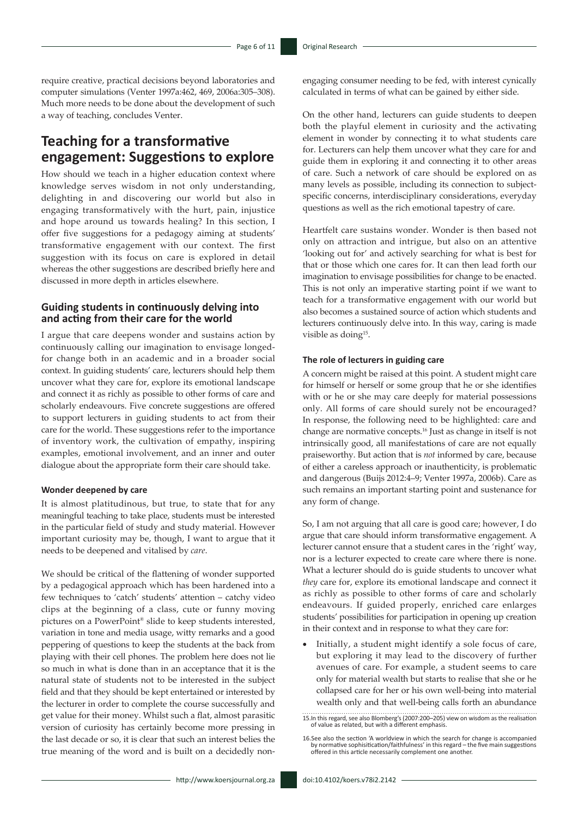require creative, practical decisions beyond laboratories and computer simulations (Venter 1997a:462, 469, 2006a:305–308). Much more needs to be done about the development of such a way of teaching, concludes Venter.

# **Teaching for a transformative engagement: Suggestions to explore**

How should we teach in a higher education context where knowledge serves wisdom in not only understanding, delighting in and discovering our world but also in engaging transformatively with the hurt, pain, injustice and hope around us towards healing? In this section, I offer five suggestions for a pedagogy aiming at students' transformative engagement with our context. The first suggestion with its focus on care is explored in detail whereas the other suggestions are described briefly here and discussed in more depth in articles elsewhere.

# **Guiding students in continuously delving into and acting from their care for the world**

I argue that care deepens wonder and sustains action by continuously calling our imagination to envisage longedfor change both in an academic and in a broader social context. In guiding students' care, lecturers should help them uncover what they care for, explore its emotional landscape and connect it as richly as possible to other forms of care and scholarly endeavours. Five concrete suggestions are offered to support lecturers in guiding students to act from their care for the world. These suggestions refer to the importance of inventory work, the cultivation of empathy, inspiring examples, emotional involvement, and an inner and outer dialogue about the appropriate form their care should take.

#### **Wonder deepened by care**

It is almost platitudinous, but true, to state that for any meaningful teaching to take place, students must be interested in the particular field of study and study material. However important curiosity may be, though, I want to argue that it needs to be deepened and vitalised by *care*.

We should be critical of the flattening of wonder supported by a pedagogical approach which has been hardened into a few techniques to 'catch' students' attention – catchy video clips at the beginning of a class, cute or funny moving pictures on a PowerPoint® slide to keep students interested, variation in tone and media usage, witty remarks and a good peppering of questions to keep the students at the back from playing with their cell phones. The problem here does not lie so much in what is done than in an acceptance that it is the natural state of students not to be interested in the subject field and that they should be kept entertained or interested by the lecturer in order to complete the course successfully and get value for their money. Whilst such a flat, almost parasitic version of curiosity has certainly become more pressing in the last decade or so, it is clear that such an interest belies the true meaning of the word and is built on a decidedly nonengaging consumer needing to be fed, with interest cynically calculated in terms of what can be gained by either side.

On the other hand, lecturers can guide students to deepen both the playful element in curiosity and the activating element in wonder by connecting it to what students care for. Lecturers can help them uncover what they care for and guide them in exploring it and connecting it to other areas of care. Such a network of care should be explored on as many levels as possible, including its connection to subjectspecific concerns, interdisciplinary considerations, everyday questions as well as the rich emotional tapestry of care.

Heartfelt care sustains wonder. Wonder is then based not only on attraction and intrigue, but also on an attentive 'looking out for' and actively searching for what is best for that or those which one cares for. It can then lead forth our imagination to envisage possibilities for change to be enacted. This is not only an imperative starting point if we want to teach for a transformative engagement with our world but also becomes a sustained source of action which students and lecturers continuously delve into. In this way, caring is made visible as doing<sup>15</sup>.

### **The role of lecturers in guiding care**

A concern might be raised at this point. A student might care for himself or herself or some group that he or she identifies with or he or she may care deeply for material possessions only. All forms of care should surely not be encouraged? In response, the following need to be highlighted: care and change are normative concepts.16 Just as change in itself is not intrinsically good, all manifestations of care are not equally praiseworthy. But action that is *not* informed by care, because of either a careless approach or inauthenticity, is problematic and dangerous (Buijs 2012:4–9; Venter 1997a, 2006b). Care as such remains an important starting point and sustenance for any form of change.

So, I am not arguing that all care is good care; however, I do argue that care should inform transformative engagement. A lecturer cannot ensure that a student cares in the 'right' way, nor is a lecturer expected to create care where there is none. What a lecturer should do is guide students to uncover what *they* care for, explore its emotional landscape and connect it as richly as possible to other forms of care and scholarly endeavours. If guided properly, enriched care enlarges students' possibilities for participation in opening up creation in their context and in response to what they care for:

• Initially, a student might identify a sole focus of care, but exploring it may lead to the discovery of further avenues of care. For example, a student seems to care only for material wealth but starts to realise that she or he collapsed care for her or his own well-being into material wealth only and that well-being calls forth an abundance

<sup>15.</sup>In this regard, see also Blomberg's (2007:200–205) view on wisdom as the realisation of value as related, but with a different emphasis.

<sup>16.</sup>See also the section 'A worldview in which the search for change is accompanied by normative sophisitication/faithfulness' in this regard – the five main suggestions offered in this article necessarily complement one another.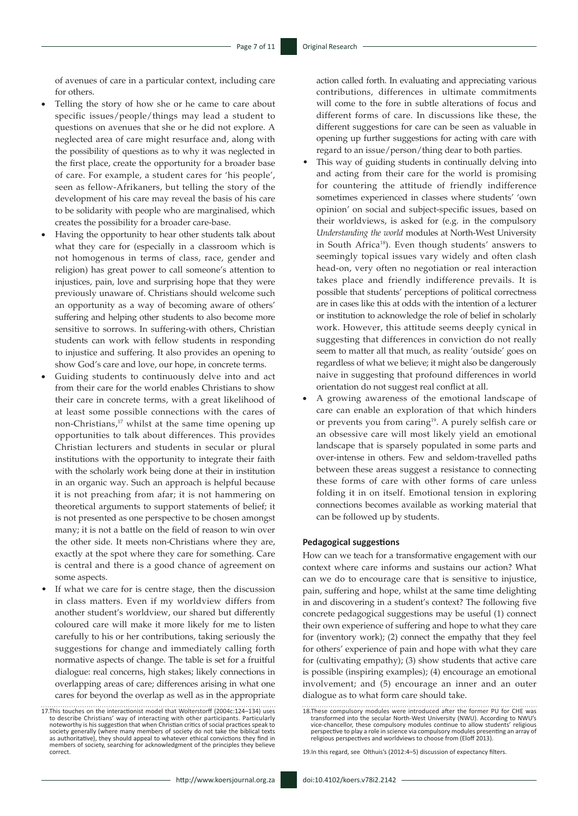of avenues of care in a particular context, including care for others.

- Telling the story of how she or he came to care about specific issues/people/things may lead a student to questions on avenues that she or he did not explore. A neglected area of care might resurface and, along with the possibility of questions as to why it was neglected in the first place, create the opportunity for a broader base of care. For example, a student cares for 'his people', seen as fellow-Afrikaners, but telling the story of the development of his care may reveal the basis of his care to be solidarity with people who are marginalised, which creates the possibility for a broader care-base.
- Having the opportunity to hear other students talk about what they care for (especially in a classroom which is not homogenous in terms of class, race, gender and religion) has great power to call someone's attention to injustices, pain, love and surprising hope that they were previously unaware of. Christians should welcome such an opportunity as a way of becoming aware of others' suffering and helping other students to also become more sensitive to sorrows. In suffering-with others, Christian students can work with fellow students in responding to injustice and suffering. It also provides an opening to show God's care and love, our hope, in concrete terms.
- Guiding students to continuously delve into and act from their care for the world enables Christians to show their care in concrete terms, with a great likelihood of at least some possible connections with the cares of non-Christians,<sup>17</sup> whilst at the same time opening up opportunities to talk about differences. This provides Christian lecturers and students in secular or plural institutions with the opportunity to integrate their faith with the scholarly work being done at their in institution in an organic way. Such an approach is helpful because it is not preaching from afar; it is not hammering on theoretical arguments to support statements of belief; it is not presented as one perspective to be chosen amongst many; it is not a battle on the field of reason to win over the other side. It meets non-Christians where they are, exactly at the spot where they care for something. Care is central and there is a good chance of agreement on some aspects.
- If what we care for is centre stage, then the discussion in class matters. Even if my worldview differs from another student's worldview, our shared but differently coloured care will make it more likely for me to listen carefully to his or her contributions, taking seriously the suggestions for change and immediately calling forth normative aspects of change. The table is set for a fruitful dialogue: real concerns, high stakes; likely connections in overlapping areas of care; differences arising in what one cares for beyond the overlap as well as in the appropriate

action called forth. In evaluating and appreciating various contributions, differences in ultimate commitments will come to the fore in subtle alterations of focus and different forms of care. In discussions like these, the different suggestions for care can be seen as valuable in opening up further suggestions for acting with care with regard to an issue/person/thing dear to both parties.

- This way of guiding students in continually delving into and acting from their care for the world is promising for countering the attitude of friendly indifference sometimes experienced in classes where students' 'own opinion' on social and subject-specific issues, based on their worldviews, is asked for (e.g. in the compulsory *Understanding the world* modules at North-West University in South Africa18). Even though students' answers to seemingly topical issues vary widely and often clash head-on, very often no negotiation or real interaction takes place and friendly indifference prevails. It is possible that students' perceptions of political correctness are in cases like this at odds with the intention of a lecturer or institution to acknowledge the role of belief in scholarly work. However, this attitude seems deeply cynical in suggesting that differences in conviction do not really seem to matter all that much, as reality 'outside' goes on regardless of what we believe; it might also be dangerously naive in suggesting that profound differences in world orientation do not suggest real conflict at all.
- A growing awareness of the emotional landscape of care can enable an exploration of that which hinders or prevents you from caring19. A purely selfish care or an obsessive care will most likely yield an emotional landscape that is sparsely populated in some parts and over-intense in others. Few and seldom-travelled paths between these areas suggest a resistance to connecting these forms of care with other forms of care unless folding it in on itself. Emotional tension in exploring connections becomes available as working material that can be followed up by students.

### **Pedagogical suggestions**

How can we teach for a transformative engagement with our context where care informs and sustains our action? What can we do to encourage care that is sensitive to injustice, pain, suffering and hope, whilst at the same time delighting in and discovering in a student's context? The following five concrete pedagogical suggestions may be useful (1) connect their own experience of suffering and hope to what they care for (inventory work); (2) connect the empathy that they feel for others' experience of pain and hope with what they care for (cultivating empathy); (3) show students that active care is possible (inspiring examples); (4) encourage an emotional involvement; and (5) encourage an inner and an outer dialogue as to what form care should take.

<sup>17.</sup>This touches on the interactionist model that Wolterstorff (2004c:124–134) uses to describe Christians' way of interacting with other participants. Particularly noteworthy is his suggestion that when Christian critics of social practices speak to<br>society generally (where many members of society do not take the biblical texts<br>as authoritative), they should appeal to whatever ethica members of society, searching for acknowledgment of the principles they believe correct.

<sup>18.</sup>These compulsory modules were introduced after the former PU for CHE was transformed into the secular North-West University (NWU). According to NWU's vice-chancellor, these compulsory modules continue to allow students' religious<br>perspective to play a role in science via compulsory modules presenting an array of<br>religious perspectives and worldviews to choose from (Elof

<sup>19.</sup>In this regard, see Olthuis's (2012:4–5) discussion of expectancy filters.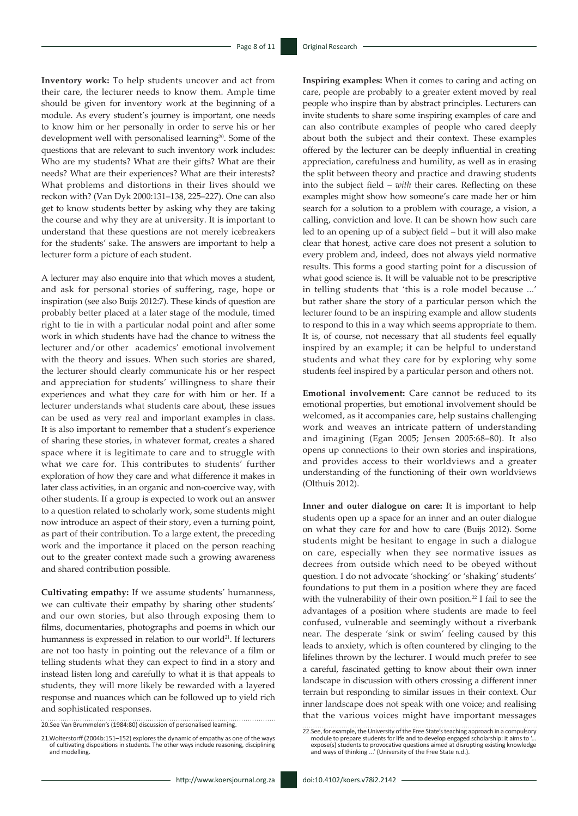**Inventory work:** To help students uncover and act from their care, the lecturer needs to know them. Ample time should be given for inventory work at the beginning of a module. As every student's journey is important, one needs to know him or her personally in order to serve his or her development well with personalised learning<sup>20</sup>. Some of the questions that are relevant to such inventory work includes: Who are my students? What are their gifts? What are their needs? What are their experiences? What are their interests? What problems and distortions in their lives should we reckon with? (Van Dyk 2000:131–138, 225–227). One can also get to know students better by asking why they are taking the course and why they are at university. It is important to understand that these questions are not merely icebreakers for the students' sake. The answers are important to help a lecturer form a picture of each student.

A lecturer may also enquire into that which moves a student, and ask for personal stories of suffering, rage, hope or inspiration (see also Buijs 2012:7). These kinds of question are probably better placed at a later stage of the module, timed right to tie in with a particular nodal point and after some work in which students have had the chance to witness the lecturer and/or other academics' emotional involvement with the theory and issues. When such stories are shared, the lecturer should clearly communicate his or her respect and appreciation for students' willingness to share their experiences and what they care for with him or her. If a lecturer understands what students care about, these issues can be used as very real and important examples in class. It is also important to remember that a student's experience of sharing these stories, in whatever format, creates a shared space where it is legitimate to care and to struggle with what we care for. This contributes to students' further exploration of how they care and what difference it makes in later class activities, in an organic and non-coercive way, with other students. If a group is expected to work out an answer to a question related to scholarly work, some students might now introduce an aspect of their story, even a turning point, as part of their contribution. To a large extent, the preceding work and the importance it placed on the person reaching out to the greater context made such a growing awareness and shared contribution possible.

**Cultivating empathy:** If we assume students' humanness, we can cultivate their empathy by sharing other students' and our own stories, but also through exposing them to films, documentaries, photographs and poems in which our humanness is expressed in relation to our world<sup>21</sup>. If lecturers are not too hasty in pointing out the relevance of a film or telling students what they can expect to find in a story and instead listen long and carefully to what it is that appeals to students, they will more likely be rewarded with a layered response and nuances which can be followed up to yield rich and sophisticated responses.

20.See Van Brummelen's (1984:80) discussion of personalised learning.

**Inspiring examples:** When it comes to caring and acting on care, people are probably to a greater extent moved by real people who inspire than by abstract principles. Lecturers can invite students to share some inspiring examples of care and can also contribute examples of people who cared deeply about both the subject and their context. These examples offered by the lecturer can be deeply influential in creating appreciation, carefulness and humility, as well as in erasing the split between theory and practice and drawing students into the subject field – *with* their cares. Reflecting on these examples might show how someone's care made her or him search for a solution to a problem with courage, a vision, a calling, conviction and love. It can be shown how such care led to an opening up of a subject field – but it will also make clear that honest, active care does not present a solution to every problem and, indeed, does not always yield normative results. This forms a good starting point for a discussion of what good science is. It will be valuable not to be prescriptive in telling students that 'this is a role model because ...' but rather share the story of a particular person which the lecturer found to be an inspiring example and allow students to respond to this in a way which seems appropriate to them. It is, of course, not necessary that all students feel equally inspired by an example; it can be helpful to understand students and what they care for by exploring why some students feel inspired by a particular person and others not.

**Emotional involvement:** Care cannot be reduced to its emotional properties, but emotional involvement should be welcomed, as it accompanies care, help sustains challenging work and weaves an intricate pattern of understanding and imagining (Egan 2005; Jensen 2005:68–80). It also opens up connections to their own stories and inspirations, and provides access to their worldviews and a greater understanding of the functioning of their own worldviews (Olthuis 2012).

**Inner and outer dialogue on care:** It is important to help students open up a space for an inner and an outer dialogue on what they care for and how to care (Buijs 2012). Some students might be hesitant to engage in such a dialogue on care, especially when they see normative issues as decrees from outside which need to be obeyed without question. I do not advocate 'shocking' or 'shaking' students' foundations to put them in a position where they are faced with the vulnerability of their own position.<sup>22</sup> I fail to see the advantages of a position where students are made to feel confused, vulnerable and seemingly without a riverbank near. The desperate 'sink or swim' feeling caused by this leads to anxiety, which is often countered by clinging to the lifelines thrown by the lecturer. I would much prefer to see a careful, fascinated getting to know about their own inner landscape in discussion with others crossing a different inner terrain but responding to similar issues in their context. Our inner landscape does not speak with one voice; and realising that the various voices might have important messages

<sup>21.</sup>Wolterstorff (2004b:151–152) explores the dynamic of empathy as one of the ways of cultivating dispositions in students. The other ways include reasoning, disciplining and modelling.

<sup>22.</sup>See, for example, the University of the Free State's teaching approach in a compulsory module to prepare students for life and to develop engaged scholarship: it aims to '... expose(s) students to provocative questions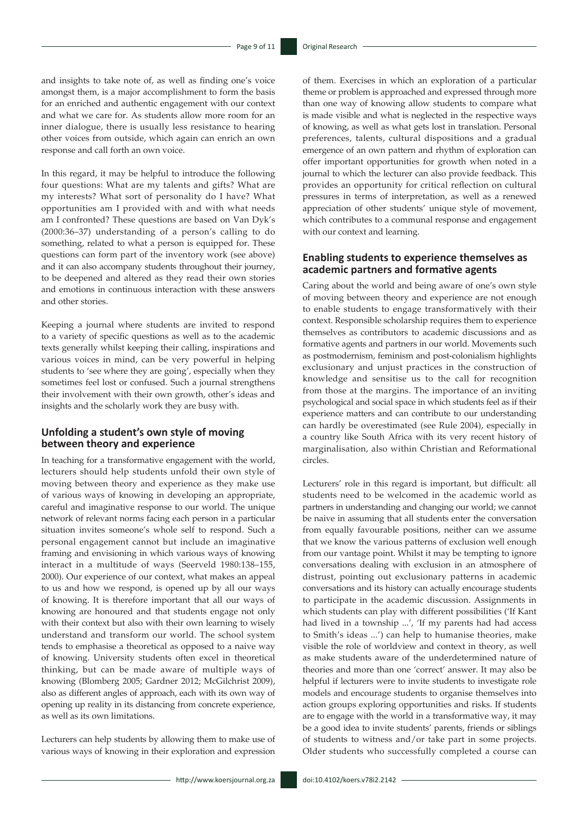and insights to take note of, as well as finding one's voice amongst them, is a major accomplishment to form the basis for an enriched and authentic engagement with our context and what we care for. As students allow more room for an inner dialogue, there is usually less resistance to hearing other voices from outside, which again can enrich an own response and call forth an own voice.

In this regard, it may be helpful to introduce the following four questions: What are my talents and gifts? What are my interests? What sort of personality do I have? What opportunities am I provided with and with what needs am I confronted? These questions are based on Van Dyk's (2000:36–37) understanding of a person's calling to do something, related to what a person is equipped for. These questions can form part of the inventory work (see above) and it can also accompany students throughout their journey, to be deepened and altered as they read their own stories and emotions in continuous interaction with these answers and other stories.

Keeping a journal where students are invited to respond to a variety of specific questions as well as to the academic texts generally whilst keeping their calling, inspirations and various voices in mind, can be very powerful in helping students to 'see where they are going', especially when they sometimes feel lost or confused. Such a journal strengthens their involvement with their own growth, other's ideas and insights and the scholarly work they are busy with.

## **Unfolding a student's own style of moving between theory and experience**

In teaching for a transformative engagement with the world, lecturers should help students unfold their own style of moving between theory and experience as they make use of various ways of knowing in developing an appropriate, careful and imaginative response to our world. The unique network of relevant norms facing each person in a particular situation invites someone's whole self to respond. Such a personal engagement cannot but include an imaginative framing and envisioning in which various ways of knowing interact in a multitude of ways (Seerveld 1980:138–155, 2000). Our experience of our context, what makes an appeal to us and how we respond, is opened up by all our ways of knowing. It is therefore important that all our ways of knowing are honoured and that students engage not only with their context but also with their own learning to wisely understand and transform our world. The school system tends to emphasise a theoretical as opposed to a naive way of knowing. University students often excel in theoretical thinking, but can be made aware of multiple ways of knowing (Blomberg 2005; Gardner 2012; McGilchrist 2009), also as different angles of approach, each with its own way of opening up reality in its distancing from concrete experience, as well as its own limitations.

Lecturers can help students by allowing them to make use of various ways of knowing in their exploration and expression

of them. Exercises in which an exploration of a particular theme or problem is approached and expressed through more than one way of knowing allow students to compare what is made visible and what is neglected in the respective ways of knowing, as well as what gets lost in translation. Personal preferences, talents, cultural dispositions and a gradual emergence of an own pattern and rhythm of exploration can offer important opportunities for growth when noted in a journal to which the lecturer can also provide feedback. This provides an opportunity for critical reflection on cultural pressures in terms of interpretation, as well as a renewed appreciation of other students' unique style of movement, which contributes to a communal response and engagement with our context and learning.

### **Enabling students to experience themselves as academic partners and formative agents**

Caring about the world and being aware of one's own style of moving between theory and experience are not enough to enable students to engage transformatively with their context. Responsible scholarship requires them to experience themselves as contributors to academic discussions and as formative agents and partners in our world. Movements such as postmodernism, feminism and post-colonialism highlights exclusionary and unjust practices in the construction of knowledge and sensitise us to the call for recognition from those at the margins. The importance of an inviting psychological and social space in which students feel as if their experience matters and can contribute to our understanding can hardly be overestimated (see Rule 2004), especially in a country like South Africa with its very recent history of marginalisation, also within Christian and Reformational circles.

Lecturers' role in this regard is important, but difficult: all students need to be welcomed in the academic world as partners in understanding and changing our world; we cannot be naive in assuming that all students enter the conversation from equally favourable positions, neither can we assume that we know the various patterns of exclusion well enough from our vantage point. Whilst it may be tempting to ignore conversations dealing with exclusion in an atmosphere of distrust, pointing out exclusionary patterns in academic conversations and its history can actually encourage students to participate in the academic discussion. Assignments in which students can play with different possibilities ('If Kant had lived in a township ...', 'If my parents had had access to Smith's ideas ...') can help to humanise theories, make visible the role of worldview and context in theory, as well as make students aware of the underdetermined nature of theories and more than one 'correct' answer. It may also be helpful if lecturers were to invite students to investigate role models and encourage students to organise themselves into action groups exploring opportunities and risks. If students are to engage with the world in a transformative way, it may be a good idea to invite students' parents, friends or siblings of students to witness and/or take part in some projects. Older students who successfully completed a course can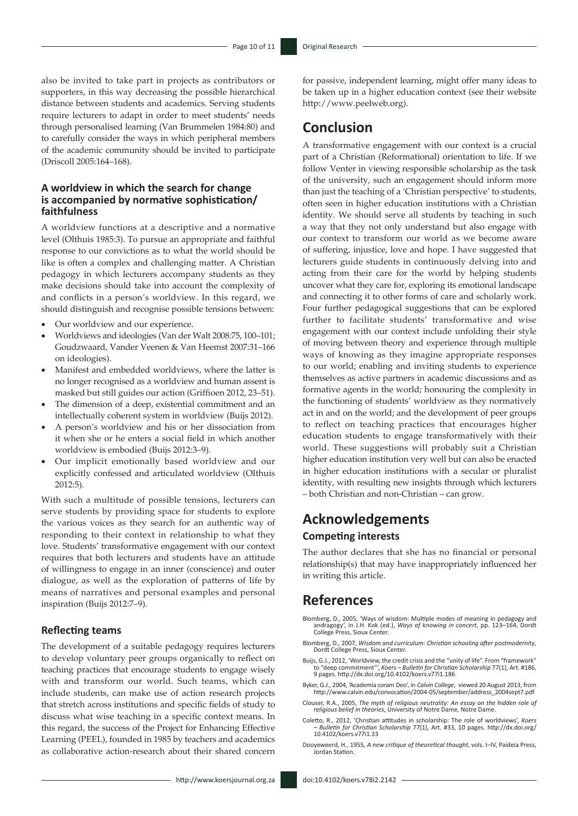also be invited to take part in projects as contributors or supporters, in this way decreasing the possible hierarchical distance between students and academics. Serving students require lecturers to adapt in order to meet students' needs through personalised learning (Van Brummelen 1984:80) and to carefully consider the ways in which peripheral members of the academic community should be invited to participate (Driscoll 2005:164–168).

# **A worldview in which the search for change is accompanied by normative sophistication/ faithfulness**

A worldview functions at a descriptive and a normative level (Olthuis 1985:3). To pursue an appropriate and faithful response to our convictions as to what the world should be like is often a complex and challenging matter. A Christian pedagogy in which lecturers accompany students as they make decisions should take into account the complexity of and conflicts in a person's worldview. In this regard, we should distinguish and recognise possible tensions between:

- Our worldview and our experience.
- • Worldviews and ideologies (Van der Walt 2008:75, 100–101; Goudzwaard, Vander Veenen & Van Heemst 2007:31–166 on ideologies).
- Manifest and embedded worldviews, where the latter is no longer recognised as a worldview and human assent is masked but still guides our action (Griffioen 2012, 23–51).
- The dimension of a deep, existential commitment and an intellectually coherent system in worldview (Buijs 2012).
- A person's worldview and his or her dissociation from it when she or he enters a social field in which another worldview is embodied (Buijs 2012:3–9).
- Our implicit emotionally based worldview and our explicitly confessed and articulated worldview (OIthuis 2012:5).

With such a multitude of possible tensions, lecturers can serve students by providing space for students to explore the various voices as they search for an authentic way of responding to their context in relationship to what they love. Students' transformative engagement with our context requires that both lecturers and students have an attitude of willingness to engage in an inner (conscience) and outer dialogue, as well as the exploration of patterns of life by means of narratives and personal examples and personal inspiration (Buijs 2012:7–9).

### **Reflecting teams**

The development of a suitable pedagogy requires lecturers to develop voluntary peer groups organically to reflect on teaching practices that encourage students to engage wisely with and transform our world. Such teams, which can include students, can make use of action research projects that stretch across institutions and specific fields of study to discuss what wise teaching in a specific context means. In this regard, the success of the Project for Enhancing Effective Learning (PEEL), founded in 1985 by teachers and academics as collaborative action-research about their shared concern

for passive, independent learning, might offer many ideas to be taken up in a higher education context (see their website <http://www.peelweb.org>).

# **Conclusion**

A transformative engagement with our context is a crucial part of a Christian (Reformational) orientation to life. If we follow Venter in viewing responsible scholarship as the task of the university, such an engagement should inform more than just the teaching of a 'Christian perspective' to students, often seen in higher education institutions with a Christian identity. We should serve all students by teaching in such a way that they not only understand but also engage with our context to transform our world as we become aware of suffering, injustice, love and hope. I have suggested that lecturers guide students in continuously delving into and acting from their care for the world by helping students uncover what they care for, exploring its emotional landscape and connecting it to other forms of care and scholarly work. Four further pedagogical suggestions that can be explored further to facilitate students' transformative and wise engagement with our context include unfolding their style of moving between theory and experience through multiple ways of knowing as they imagine appropriate responses to our world; enabling and inviting students to experience themselves as active partners in academic discussions and as formative agents in the world; honouring the complexity in the functioning of students' worldview as they normatively act in and on the world; and the development of peer groups to reflect on teaching practices that encourages higher education students to engage transformatively with their world. These suggestions will probably suit a Christian higher education institution very well but can also be enacted in higher education institutions with a secular or pluralist identity, with resulting new insights through which lecturers – both Christian and non-Christian – can grow.

# **Acknowledgements Competing interests**

The author declares that she has no financial or personal relationship(s) that may have inappropriately influenced her in writing this article.

# **References**

- Blomberg, D., 2005, 'Ways of wisdom: Multiple modes of meaning in pedagogy and andragogy', in J.H. Kok (ed.), *Ways of knowing in concert*, pp. 123–164, Dordt College Press, Sioux Center.
- Blomberg, D., 2007, *Wisdom and curriculum: Christian schooling after postmodernity*, Dordt College Press, Sioux Center.
- Buijs, G.J., 2012, 'Worldview, the credit crisis and the "unity of life". From "framework"<br>to "deep commitment", *Koers Bulletin for Christian Scholarship* 77(1), Art. #186,<br>9 pages. http://dx.doi.org/10.4102/koers.v77i1
- Byker, G.J., 2004, 'Academia coram Deo', in *Calvin College*, viewed 20 August 2013, from [http://www.calvin.edu/convocation/2004-05/september/address\\_2004sept7.pdf](http://www.calvin.edu/convocation/2004-05/september/address_2004sept7.pdf)
- Clouser, R.A., 2005, *The myth of religious neutrality: An essay on the hidden role of religious belief in theories*, University of Notre Dame, Notre Dame.
- Coletto, R., 2012, 'Christian attitudes in scholarship: The role of worldviews', *Koers – Bulletin for Christian Scholarship* 77(1), Art. #33, 10 pages. [http://dx.doi.org/](http://dx.doi.org/10.4102/koers.v77i1.33)  [10.4102/koers.v77i1.33](http://dx.doi.org/10.4102/koers.v77i1.33)
- Dooyeweerd, H., 1955, *A new critique of theoretical thought*, vols. I–IV, Paideia Press, Jordan Station.